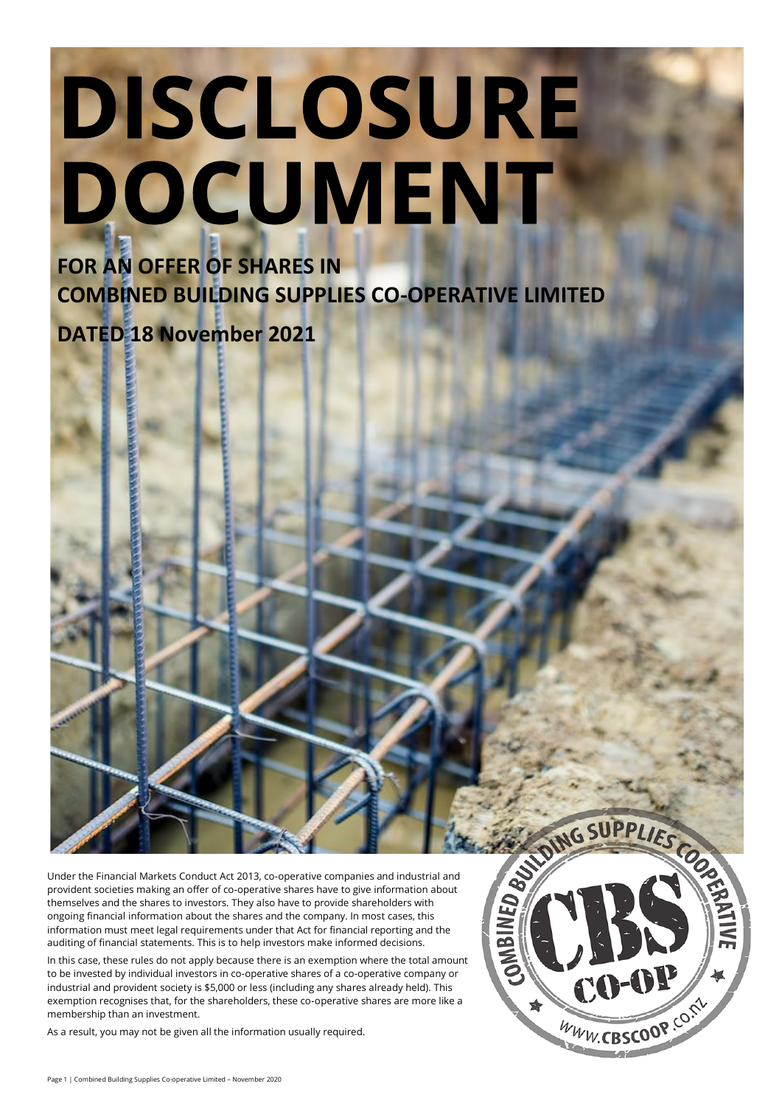# DISCLOSURE DOCUMENT

**FOR AN OFFER OF SHARES IN COMBINED BUILDING SUPPLIES CO-OPERATIVE LIMITED**

#### **DATED 18 November 2021**

Under the Financial Markets Conduct Act 2013, co-operative companies and industrial and provident societies making an offer of co-operative shares have to give information about themselves and the shares to investors. They also have to provide shareholders with ongoing financial information about the shares and the company. In most cases, this information must meet legal requirements under that Act for financial reporting and the auditing of financial statements. This is to help investors make informed decisions.

In this case, these rules do not apply because there is an exemption where the total amount to be invested by individual investors in co-operative shares of a co-operative company or industrial and provident society is \$5,000 or less (including any shares already held). This exemption recognises that, for the shareholders, these co-operative shares are more like a membership than an investment.

As a result, you may not be given all the information usually required.

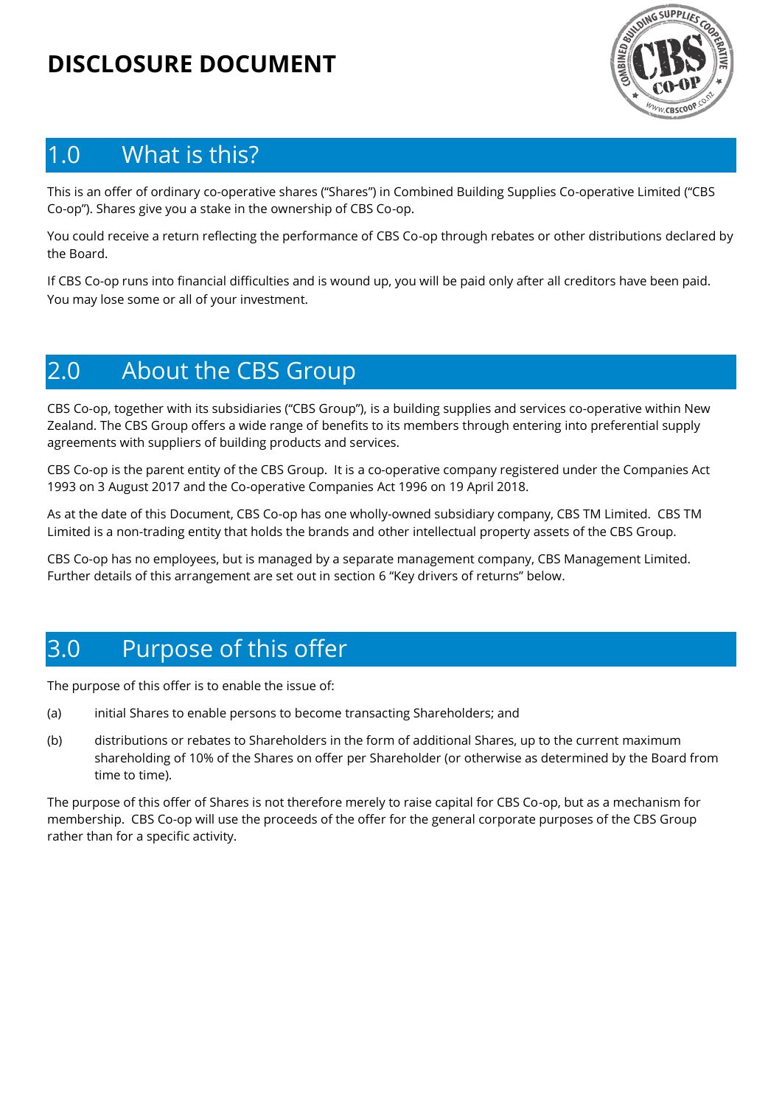## **DISCLOSURE DOCUMENT**



#### 1.0 What is this?

This is an offer of ordinary co-operative shares ("Shares") in Combined Building Supplies Co-operative Limited ("CBS Co-op"). Shares give you a stake in the ownership of CBS Co-op.

You could receive a return reflecting the performance of CBS Co-op through rebates or other distributions declared by the Board.

If CBS Co-op runs into financial difficulties and is wound up, you will be paid only after all creditors have been paid. You may lose some or all of your investment.

#### 2.0 About the CBS Group

CBS Co-op, together with its subsidiaries ("CBS Group"), is a building supplies and services co-operative within New Zealand. The CBS Group offers a wide range of benefits to its members through entering into preferential supply agreements with suppliers of building products and services.

CBS Co-op is the parent entity of the CBS Group. It is a co-operative company registered under the Companies Act 1993 on 3 August 2017 and the Co-operative Companies Act 1996 on 19 April 2018.

As at the date of this Document, CBS Co-op has one wholly-owned subsidiary company, CBS TM Limited. CBS TM Limited is a non-trading entity that holds the brands and other intellectual property assets of the CBS Group.

CBS Co-op has no employees, but is managed by a separate management company, CBS Management Limited. Further details of this arrangement are set out in section 6 "Key drivers of returns" below.

## 3.0 Purpose of this offer

The purpose of this offer is to enable the issue of:

- (a) initial Shares to enable persons to become transacting Shareholders; and
- (b) distributions or rebates to Shareholders in the form of additional Shares, up to the current maximum shareholding of 10% of the Shares on offer per Shareholder (or otherwise as determined by the Board from time to time).

The purpose of this offer of Shares is not therefore merely to raise capital for CBS Co-op, but as a mechanism for membership. CBS Co-op will use the proceeds of the offer for the general corporate purposes of the CBS Group rather than for a specific activity.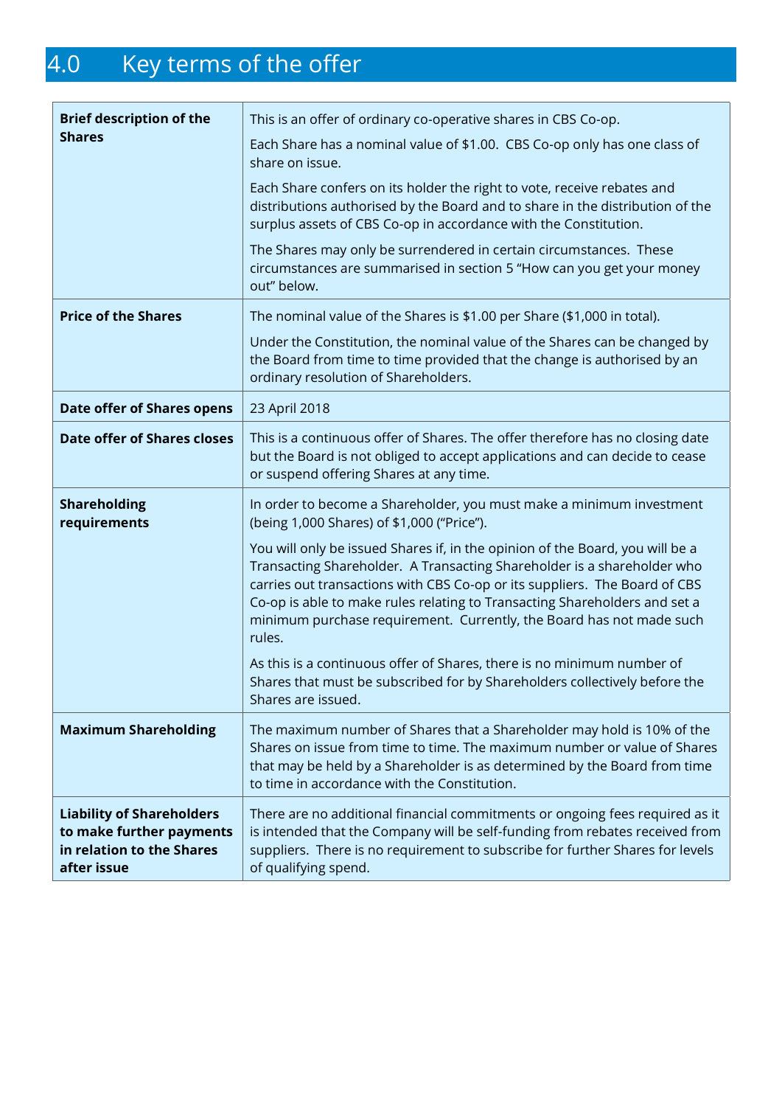# 4.0 Key terms of the offer

| <b>Brief description of the</b><br><b>Shares</b>                                                         | This is an offer of ordinary co-operative shares in CBS Co-op.<br>Each Share has a nominal value of \$1.00. CBS Co-op only has one class of<br>share on issue.<br>Each Share confers on its holder the right to vote, receive rebates and                                                                                                                                                              |
|----------------------------------------------------------------------------------------------------------|--------------------------------------------------------------------------------------------------------------------------------------------------------------------------------------------------------------------------------------------------------------------------------------------------------------------------------------------------------------------------------------------------------|
|                                                                                                          | distributions authorised by the Board and to share in the distribution of the<br>surplus assets of CBS Co-op in accordance with the Constitution.                                                                                                                                                                                                                                                      |
|                                                                                                          | The Shares may only be surrendered in certain circumstances. These<br>circumstances are summarised in section 5 "How can you get your money<br>out" below.                                                                                                                                                                                                                                             |
| <b>Price of the Shares</b>                                                                               | The nominal value of the Shares is \$1.00 per Share (\$1,000 in total).                                                                                                                                                                                                                                                                                                                                |
|                                                                                                          | Under the Constitution, the nominal value of the Shares can be changed by<br>the Board from time to time provided that the change is authorised by an<br>ordinary resolution of Shareholders.                                                                                                                                                                                                          |
| <b>Date offer of Shares opens</b>                                                                        | 23 April 2018                                                                                                                                                                                                                                                                                                                                                                                          |
| <b>Date offer of Shares closes</b>                                                                       | This is a continuous offer of Shares. The offer therefore has no closing date<br>but the Board is not obliged to accept applications and can decide to cease<br>or suspend offering Shares at any time.                                                                                                                                                                                                |
| <b>Shareholding</b><br>requirements                                                                      | In order to become a Shareholder, you must make a minimum investment<br>(being 1,000 Shares) of \$1,000 ("Price").                                                                                                                                                                                                                                                                                     |
|                                                                                                          | You will only be issued Shares if, in the opinion of the Board, you will be a<br>Transacting Shareholder. A Transacting Shareholder is a shareholder who<br>carries out transactions with CBS Co-op or its suppliers. The Board of CBS<br>Co-op is able to make rules relating to Transacting Shareholders and set a<br>minimum purchase requirement. Currently, the Board has not made such<br>rules. |
|                                                                                                          | As this is a continuous offer of Shares, there is no minimum number of<br>Shares that must be subscribed for by Shareholders collectively before the<br>Shares are issued.                                                                                                                                                                                                                             |
| <b>Maximum Shareholding</b>                                                                              | The maximum number of Shares that a Shareholder may hold is 10% of the<br>Shares on issue from time to time. The maximum number or value of Shares<br>that may be held by a Shareholder is as determined by the Board from time<br>to time in accordance with the Constitution.                                                                                                                        |
| <b>Liability of Shareholders</b><br>to make further payments<br>in relation to the Shares<br>after issue | There are no additional financial commitments or ongoing fees required as it<br>is intended that the Company will be self-funding from rebates received from<br>suppliers. There is no requirement to subscribe for further Shares for levels<br>of qualifying spend.                                                                                                                                  |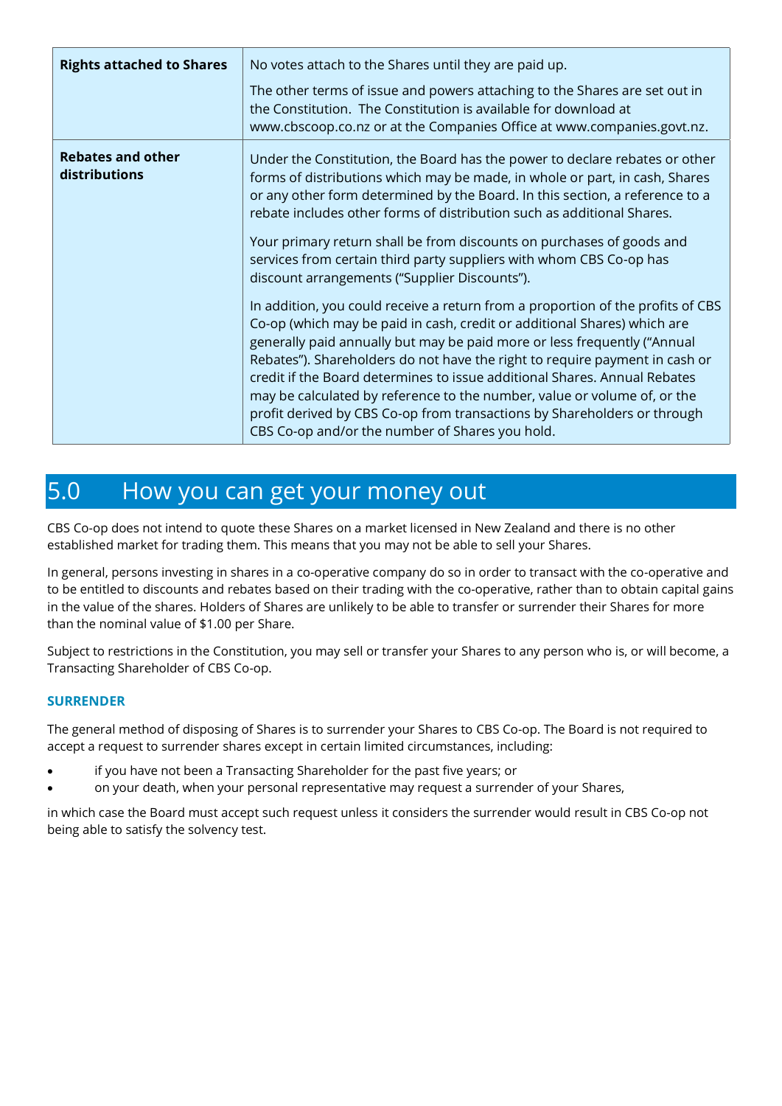| <b>Rights attached to Shares</b>          | No votes attach to the Shares until they are paid up.<br>The other terms of issue and powers attaching to the Shares are set out in                                                                                                                                                                                                                                                                                                                                                                                                                                                                                                                                                                                                                                                                                                                                                                                                                                                                                                                                                                                                     |
|-------------------------------------------|-----------------------------------------------------------------------------------------------------------------------------------------------------------------------------------------------------------------------------------------------------------------------------------------------------------------------------------------------------------------------------------------------------------------------------------------------------------------------------------------------------------------------------------------------------------------------------------------------------------------------------------------------------------------------------------------------------------------------------------------------------------------------------------------------------------------------------------------------------------------------------------------------------------------------------------------------------------------------------------------------------------------------------------------------------------------------------------------------------------------------------------------|
|                                           | the Constitution. The Constitution is available for download at<br>www.cbscoop.co.nz or at the Companies Office at www.companies.govt.nz.                                                                                                                                                                                                                                                                                                                                                                                                                                                                                                                                                                                                                                                                                                                                                                                                                                                                                                                                                                                               |
| <b>Rebates and other</b><br>distributions | Under the Constitution, the Board has the power to declare rebates or other<br>forms of distributions which may be made, in whole or part, in cash, Shares<br>or any other form determined by the Board. In this section, a reference to a<br>rebate includes other forms of distribution such as additional Shares.<br>Your primary return shall be from discounts on purchases of goods and<br>services from certain third party suppliers with whom CBS Co-op has<br>discount arrangements ("Supplier Discounts").<br>In addition, you could receive a return from a proportion of the profits of CBS<br>Co-op (which may be paid in cash, credit or additional Shares) which are<br>generally paid annually but may be paid more or less frequently ("Annual<br>Rebates"). Shareholders do not have the right to require payment in cash or<br>credit if the Board determines to issue additional Shares. Annual Rebates<br>may be calculated by reference to the number, value or volume of, or the<br>profit derived by CBS Co-op from transactions by Shareholders or through<br>CBS Co-op and/or the number of Shares you hold. |

#### 5.0 How you can get your money out

CBS Co-op does not intend to quote these Shares on a market licensed in New Zealand and there is no other established market for trading them. This means that you may not be able to sell your Shares.

In general, persons investing in shares in a co-operative company do so in order to transact with the co-operative and to be entitled to discounts and rebates based on their trading with the co-operative, rather than to obtain capital gains in the value of the shares. Holders of Shares are unlikely to be able to transfer or surrender their Shares for more than the nominal value of \$1.00 per Share.

Subject to restrictions in the Constitution, you may sell or transfer your Shares to any person who is, or will become, a Transacting Shareholder of CBS Co-op.

#### **SURRENDER**

The general method of disposing of Shares is to surrender your Shares to CBS Co-op. The Board is not required to accept a request to surrender shares except in certain limited circumstances, including:

- if you have not been a Transacting Shareholder for the past five years; or
- on your death, when your personal representative may request a surrender of your Shares,

in which case the Board must accept such request unless it considers the surrender would result in CBS Co-op not being able to satisfy the solvency test.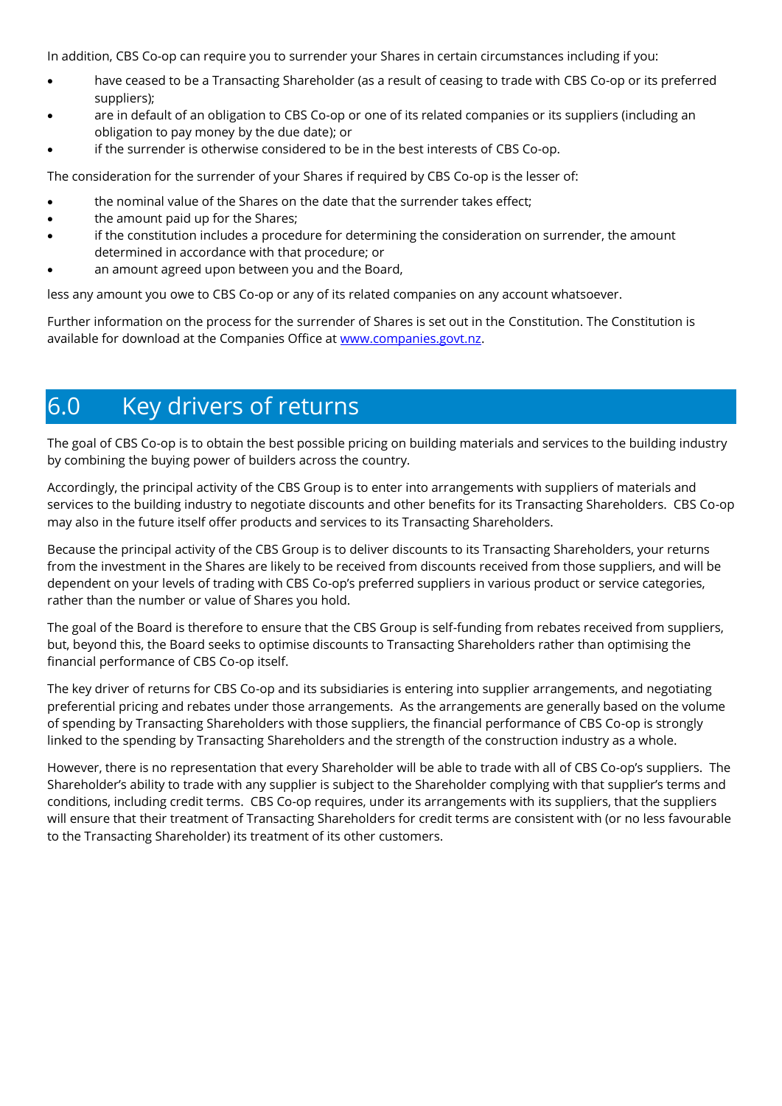In addition, CBS Co-op can require you to surrender your Shares in certain circumstances including if you:

- have ceased to be a Transacting Shareholder (as a result of ceasing to trade with CBS Co-op or its preferred suppliers);
- are in default of an obligation to CBS Co-op or one of its related companies or its suppliers (including an obligation to pay money by the due date); or
- if the surrender is otherwise considered to be in the best interests of CBS Co-op.

The consideration for the surrender of your Shares if required by CBS Co-op is the lesser of:

- the nominal value of the Shares on the date that the surrender takes effect;
- the amount paid up for the Shares:
- if the constitution includes a procedure for determining the consideration on surrender, the amount determined in accordance with that procedure; or
- an amount agreed upon between you and the Board,

less any amount you owe to CBS Co-op or any of its related companies on any account whatsoever.

Further information on the process for the surrender of Shares is set out in the Constitution. The Constitution is available for download at the Companies Office at [www.companies.govt.nz.](http://www.companies.govt.nz/)

## 6.0 Key drivers of returns

The goal of CBS Co-op is to obtain the best possible pricing on building materials and services to the building industry by combining the buying power of builders across the country.

Accordingly, the principal activity of the CBS Group is to enter into arrangements with suppliers of materials and services to the building industry to negotiate discounts and other benefits for its Transacting Shareholders. CBS Co-op may also in the future itself offer products and services to its Transacting Shareholders.

Because the principal activity of the CBS Group is to deliver discounts to its Transacting Shareholders, your returns from the investment in the Shares are likely to be received from discounts received from those suppliers, and will be dependent on your levels of trading with CBS Co-op's preferred suppliers in various product or service categories, rather than the number or value of Shares you hold.

The goal of the Board is therefore to ensure that the CBS Group is self-funding from rebates received from suppliers, but, beyond this, the Board seeks to optimise discounts to Transacting Shareholders rather than optimising the financial performance of CBS Co-op itself.

The key driver of returns for CBS Co-op and its subsidiaries is entering into supplier arrangements, and negotiating preferential pricing and rebates under those arrangements. As the arrangements are generally based on the volume of spending by Transacting Shareholders with those suppliers, the financial performance of CBS Co-op is strongly linked to the spending by Transacting Shareholders and the strength of the construction industry as a whole.

However, there is no representation that every Shareholder will be able to trade with all of CBS Co-op's suppliers. The Shareholder's ability to trade with any supplier is subject to the Shareholder complying with that supplier's terms and conditions, including credit terms. CBS Co-op requires, under its arrangements with its suppliers, that the suppliers will ensure that their treatment of Transacting Shareholders for credit terms are consistent with (or no less favourable to the Transacting Shareholder) its treatment of its other customers.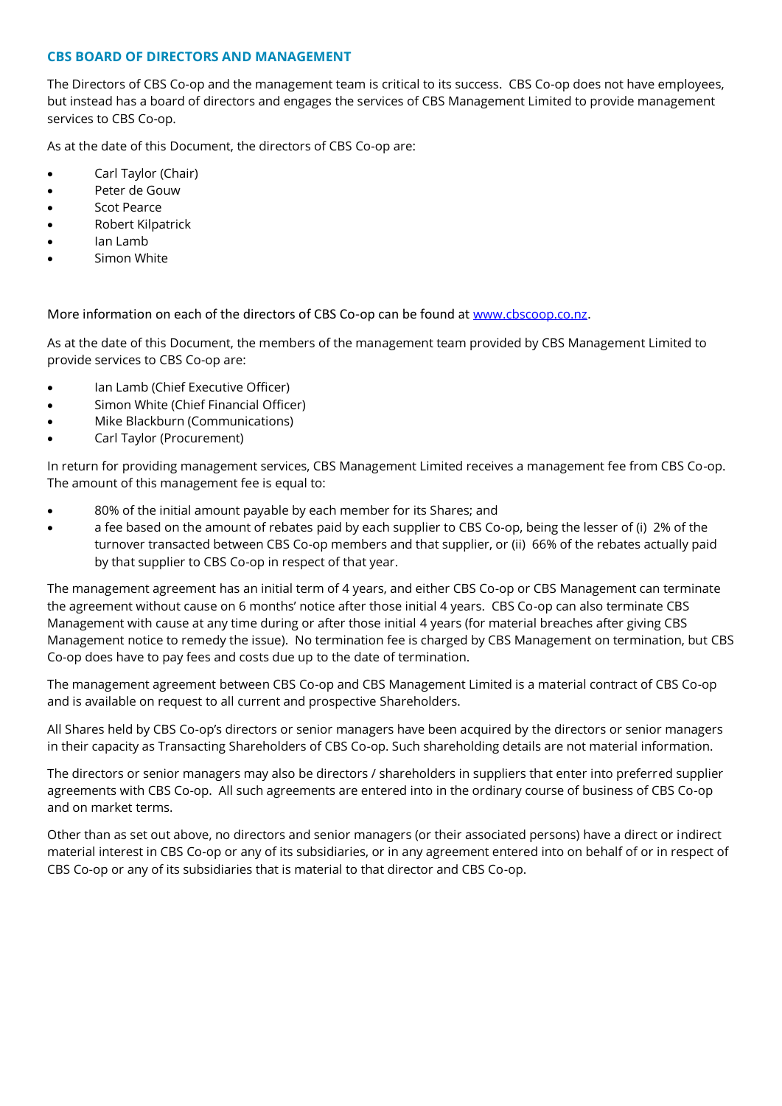#### **CBS BOARD OF DIRECTORS AND MANAGEMENT**

The Directors of CBS Co-op and the management team is critical to its success. CBS Co-op does not have employees, but instead has a board of directors and engages the services of CBS Management Limited to provide management services to CBS Co-op.

As at the date of this Document, the directors of CBS Co-op are:

- Carl Taylor (Chair)
- Peter de Gouw
- Scot Pearce
- Robert Kilpatrick
- Ian Lamb
- Simon White

More information on each of the directors of CBS Co-op can be found at [www.cbscoop.co.nz](http://www.cbscoop.co.nz/).

As at the date of this Document, the members of the management team provided by CBS Management Limited to provide services to CBS Co-op are:

- Ian Lamb (Chief Executive Officer)
- Simon White (Chief Financial Officer)
- Mike Blackburn (Communications)
- Carl Taylor (Procurement)

In return for providing management services, CBS Management Limited receives a management fee from CBS Co-op. The amount of this management fee is equal to:

- 80% of the initial amount payable by each member for its Shares; and
- a fee based on the amount of rebates paid by each supplier to CBS Co-op, being the lesser of (i) 2% of the turnover transacted between CBS Co-op members and that supplier, or (ii) 66% of the rebates actually paid by that supplier to CBS Co-op in respect of that year.

The management agreement has an initial term of 4 years, and either CBS Co-op or CBS Management can terminate the agreement without cause on 6 months' notice after those initial 4 years. CBS Co-op can also terminate CBS Management with cause at any time during or after those initial 4 years (for material breaches after giving CBS Management notice to remedy the issue). No termination fee is charged by CBS Management on termination, but CBS Co-op does have to pay fees and costs due up to the date of termination.

The management agreement between CBS Co-op and CBS Management Limited is a material contract of CBS Co-op and is available on request to all current and prospective Shareholders.

All Shares held by CBS Co-op's directors or senior managers have been acquired by the directors or senior managers in their capacity as Transacting Shareholders of CBS Co-op. Such shareholding details are not material information.

The directors or senior managers may also be directors / shareholders in suppliers that enter into preferred supplier agreements with CBS Co-op. All such agreements are entered into in the ordinary course of business of CBS Co-op and on market terms.

Other than as set out above, no directors and senior managers (or their associated persons) have a direct or indirect material interest in CBS Co-op or any of its subsidiaries, or in any agreement entered into on behalf of or in respect of CBS Co-op or any of its subsidiaries that is material to that director and CBS Co-op.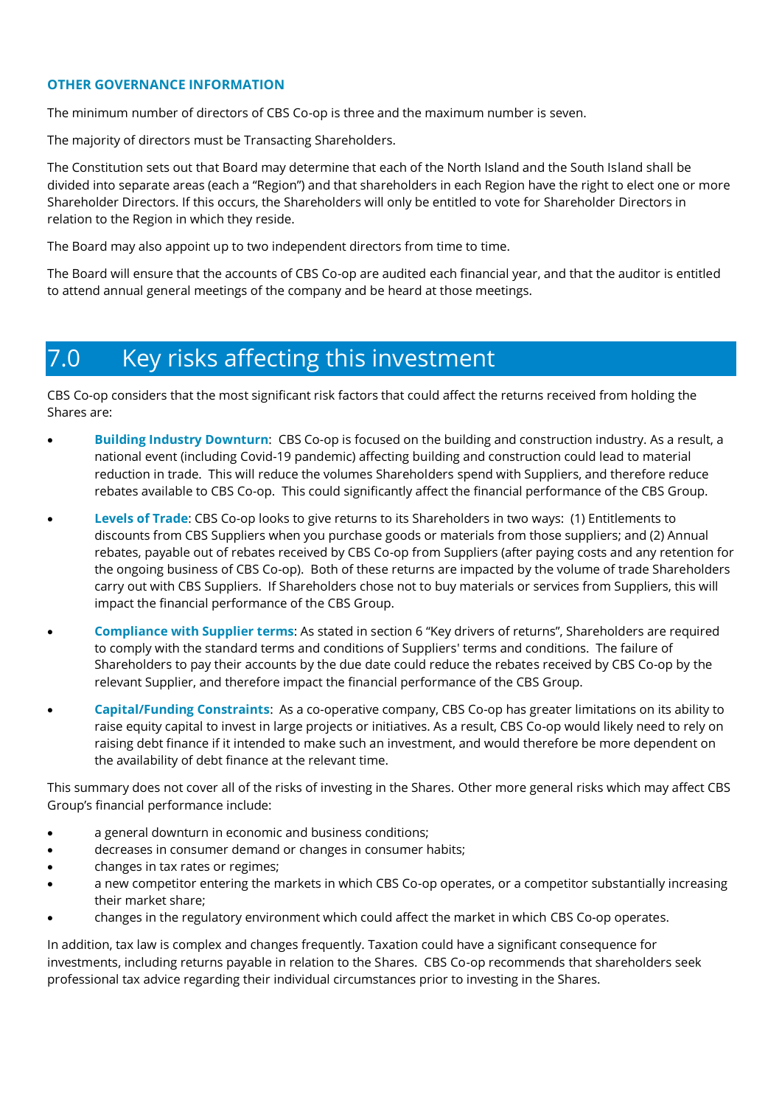#### **OTHER GOVERNANCE INFORMATION**

The minimum number of directors of CBS Co-op is three and the maximum number is seven.

The majority of directors must be Transacting Shareholders.

The Constitution sets out that Board may determine that each of the North Island and the South Island shall be divided into separate areas (each a "Region") and that shareholders in each Region have the right to elect one or more Shareholder Directors. If this occurs, the Shareholders will only be entitled to vote for Shareholder Directors in relation to the Region in which they reside.

The Board may also appoint up to two independent directors from time to time.

The Board will ensure that the accounts of CBS Co-op are audited each financial year, and that the auditor is entitled to attend annual general meetings of the company and be heard at those meetings.

#### 7.0 Key risks affecting this investment

CBS Co-op considers that the most significant risk factors that could affect the returns received from holding the Shares are:

- **Building Industry Downturn**: CBS Co-op is focused on the building and construction industry. As a result, a national event (including Covid-19 pandemic) affecting building and construction could lead to material reduction in trade. This will reduce the volumes Shareholders spend with Suppliers, and therefore reduce rebates available to CBS Co-op. This could significantly affect the financial performance of the CBS Group.
- **Levels of Trade**: CBS Co-op looks to give returns to its Shareholders in two ways: (1) Entitlements to discounts from CBS Suppliers when you purchase goods or materials from those suppliers; and (2) Annual rebates, payable out of rebates received by CBS Co-op from Suppliers (after paying costs and any retention for the ongoing business of CBS Co-op). Both of these returns are impacted by the volume of trade Shareholders carry out with CBS Suppliers. If Shareholders chose not to buy materials or services from Suppliers, this will impact the financial performance of the CBS Group.
- **Compliance with Supplier terms**: As stated in section 6 "Key drivers of returns", Shareholders are required to comply with the standard terms and conditions of Suppliers' terms and conditions. The failure of Shareholders to pay their accounts by the due date could reduce the rebates received by CBS Co-op by the relevant Supplier, and therefore impact the financial performance of the CBS Group.
- **Capital/Funding Constraints**: As a co-operative company, CBS Co-op has greater limitations on its ability to raise equity capital to invest in large projects or initiatives. As a result, CBS Co-op would likely need to rely on raising debt finance if it intended to make such an investment, and would therefore be more dependent on the availability of debt finance at the relevant time.

This summary does not cover all of the risks of investing in the Shares. Other more general risks which may affect CBS Group's financial performance include:

- a general downturn in economic and business conditions;
- decreases in consumer demand or changes in consumer habits;
- changes in tax rates or regimes;
- a new competitor entering the markets in which CBS Co-op operates, or a competitor substantially increasing their market share;
- changes in the regulatory environment which could affect the market in which CBS Co-op operates.

In addition, tax law is complex and changes frequently. Taxation could have a significant consequence for investments, including returns payable in relation to the Shares. CBS Co-op recommends that shareholders seek professional tax advice regarding their individual circumstances prior to investing in the Shares.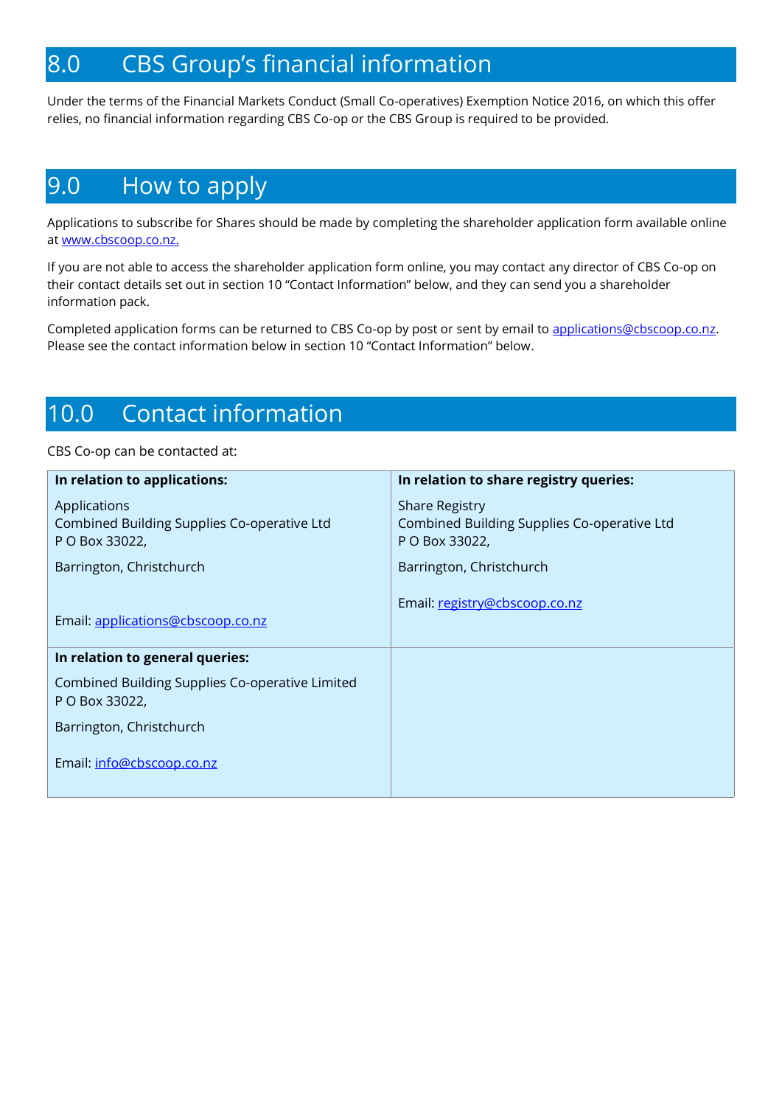#### 8.0 CBS Group's financial information

Under the terms of the Financial Markets Conduct (Small Co-operatives) Exemption Notice 2016, on which this offer relies, no financial information regarding CBS Co-op or the CBS Group is required to be provided.

## 9.0 How to apply

Applications to subscribe for Shares should be made by completing the shareholder application form available online at [www.cbscoop.co.nz.](http://www.cbscoop.co.nz./)

If you are not able to access the shareholder application form online, you may contact any director of CBS Co-op on their contact details set out in section 10 "Contact Information" below, and they can send you a shareholder information pack.

Completed application forms can be returned to CBS Co-op by post or sent by email t[o applications@cbscoop.co.nz.](mailto:applications@cbscoop.co.nz) Please see the contact information below in section 10 "Contact Information" below.

## 10.0 Contact information

#### CBS Co-op can be contacted at:

| In relation to applications:                                      | In relation to share registry queries:                               |
|-------------------------------------------------------------------|----------------------------------------------------------------------|
| Applications<br>Combined Building Supplies Co-operative Ltd       | <b>Share Registry</b><br>Combined Building Supplies Co-operative Ltd |
| P O Box 33022,                                                    | P O Box 33022,                                                       |
| Barrington, Christchurch                                          | Barrington, Christchurch                                             |
|                                                                   | Email: registry@cbscoop.co.nz                                        |
| Email: applications@cbscoop.co.nz                                 |                                                                      |
| In relation to general queries:                                   |                                                                      |
| Combined Building Supplies Co-operative Limited<br>P O Box 33022, |                                                                      |
| Barrington, Christchurch                                          |                                                                      |
| Email: info@cbscoop.co.nz                                         |                                                                      |
|                                                                   |                                                                      |